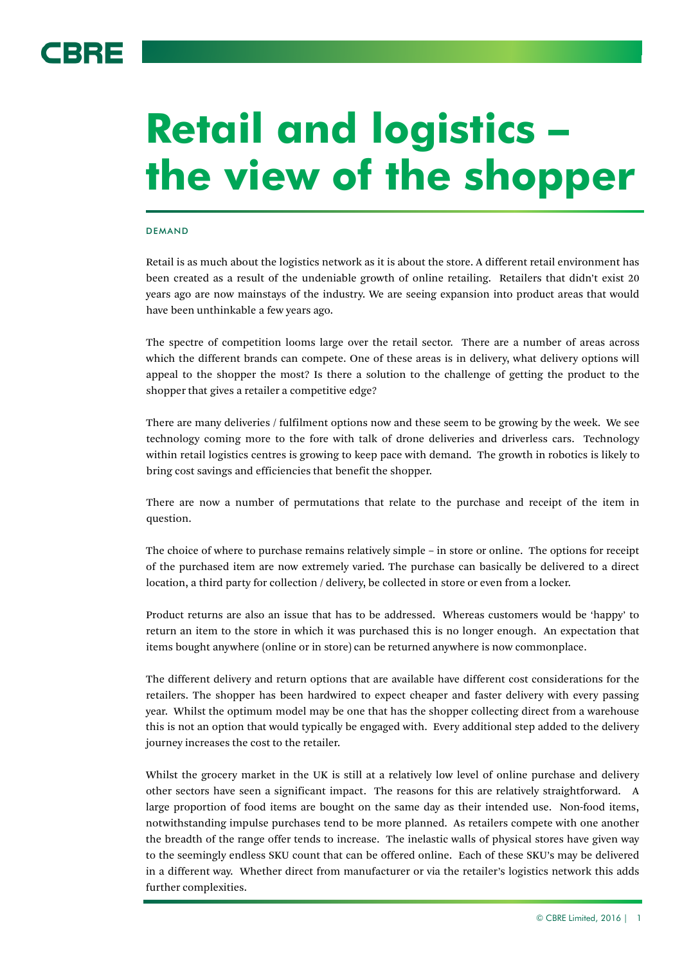# 3BRE

# **Retail and logistics – the view of the shopper**

## DEMAND

Retail is as much about the logistics network as it is about the store. A different retail environment has been created as a result of the undeniable growth of online retailing. Retailers that didn't exist 20 years ago are now mainstays of the industry. We are seeing expansion into product areas that would have been unthinkable a few years ago.

The spectre of competition looms large over the retail sector. There are a number of areas across which the different brands can compete. One of these areas is in delivery, what delivery options will appeal to the shopper the most? Is there a solution to the challenge of getting the product to the shopper that gives a retailer a competitive edge?

There are many deliveries / fulfilment options now and these seem to be growing by the week. We see technology coming more to the fore with talk of drone deliveries and driverless cars. Technology within retail logistics centres is growing to keep pace with demand. The growth in robotics is likely to bring cost savings and efficiencies that benefit the shopper.

There are now a number of permutations that relate to the purchase and receipt of the item in question.

The choice of where to purchase remains relatively simple – in store or online. The options for receipt of the purchased item are now extremely varied. The purchase can basically be delivered to a direct location, a third party for collection / delivery, be collected in store or even from a locker.

Product returns are also an issue that has to be addressed. Whereas customers would be 'happy' to return an item to the store in which it was purchased this is no longer enough. An expectation that items bought anywhere (online or in store) can be returned anywhere is now commonplace.

The different delivery and return options that are available have different cost considerations for the retailers. The shopper has been hardwired to expect cheaper and faster delivery with every passing year. Whilst the optimum model may be one that has the shopper collecting direct from a warehouse this is not an option that would typically be engaged with. Every additional step added to the delivery journey increases the cost to the retailer.

Whilst the grocery market in the UK is still at a relatively low level of online purchase and delivery other sectors have seen a significant impact. The reasons for this are relatively straightforward. A large proportion of food items are bought on the same day as their intended use. Non-food items, notwithstanding impulse purchases tend to be more planned. As retailers compete with one another the breadth of the range offer tends to increase. The inelastic walls of physical stores have given way to the seemingly endless SKU count that can be offered online. Each of these SKU's may be delivered in a different way. Whether direct from manufacturer or via the retailer's logistics network this adds further complexities.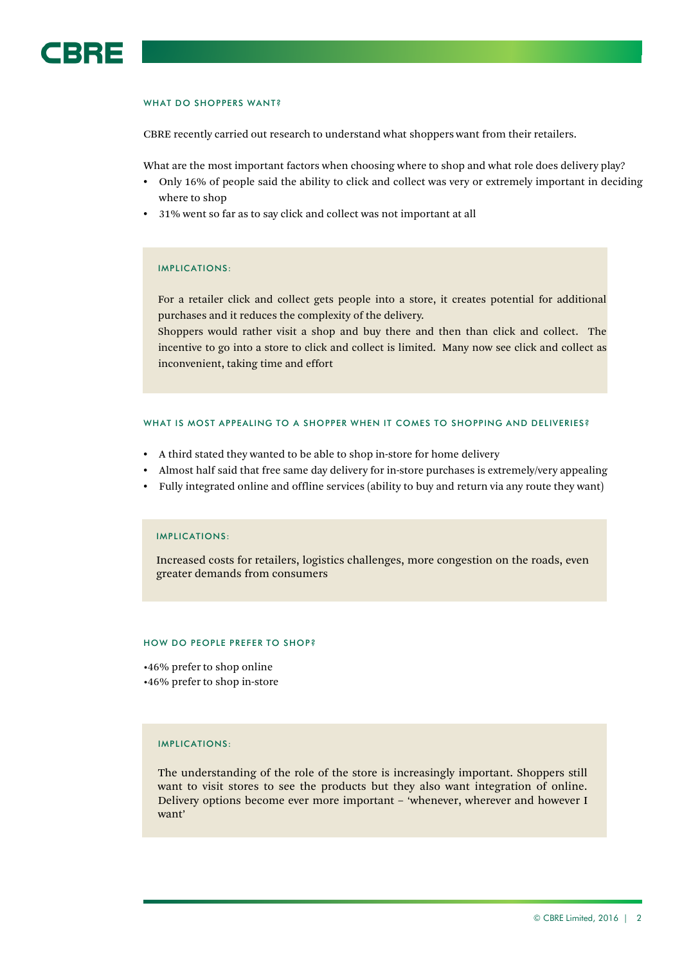

#### WHAT DO SHOPPERS WANT?

CBRE recently carried out research to understand what shoppers want from their retailers.

What are the most important factors when choosing where to shop and what role does delivery play?

- Only 16% of people said the ability to click and collect was very or extremely important in deciding where to shop
- 31% went so far as to say click and collect was not important at all

#### IMPLICATIONS:

For a retailer click and collect gets people into a store, it creates potential for additional purchases and it reduces the complexity of the delivery.

Shoppers would rather visit a shop and buy there and then than click and collect. The incentive to go into a store to click and collect is limited. Many now see click and collect as inconvenient, taking time and effort

#### WHAT IS MOST APPEALING TO A SHOPPER WHEN IT COMES TO SHOPPING AND DELIVERIES?

- A third stated they wanted to be able to shop in-store for home delivery
- Almost half said that free same day delivery for in-store purchases is extremely/very appealing
- Fully integrated online and offline services (ability to buy and return via any route they want)

#### IMPLICATIONS:

Increased costs for retailers, logistics challenges, more congestion on the roads, even greater demands from consumers

#### HOW DO PEOPLE PREFER TO SHOP?

•46% prefer to shop online •46% prefer to shop in-store

#### IMPLICATIONS:

The understanding of the role of the store is increasingly important. Shoppers still want to visit stores to see the products but they also want integration of online. Delivery options become ever more important – 'whenever, wherever and however I want'